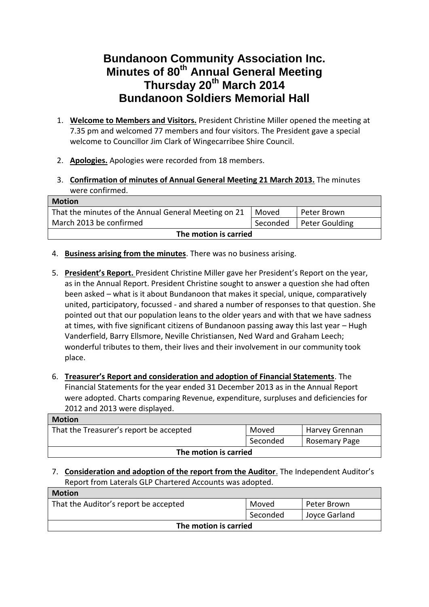## **Bundanoon Community Association Inc. Minutes of 80th Annual General Meeting Thursday 20th March 2014 Bundanoon Soldiers Memorial Hall**

- 1. **Welcome to Members and Visitors.** President Christine Miller opened the meeting at 7.35 pm and welcomed 77 members and four visitors. The President gave a special welcome to Councillor Jim Clark of Wingecarribee Shire Council.
- 2. **Apologies.** Apologies were recorded from 18 members.
- 3. **Confirmation of minutes of Annual General Meeting 21 March 2013.** The minutes were confirmed.

| <b>Motion</b>                                        |          |                |
|------------------------------------------------------|----------|----------------|
| That the minutes of the Annual General Meeting on 21 | Moved    | Peter Brown    |
| March 2013 be confirmed                              | Seconded | Peter Goulding |
| The motion is carried                                |          |                |

- 4. **Business arising from the minutes**. There was no business arising.
- 5. **President's Report.** President Christine Miller gave her President's Report on the year, as in the Annual Report. President Christine sought to answer a question she had often been asked – what is it about Bundanoon that makes it special, unique, comparatively united, participatory, focussed - and shared a number of responses to that question. She pointed out that our population leans to the older years and with that we have sadness at times, with five significant citizens of Bundanoon passing away this last year – Hugh Vanderfield, Barry Ellsmore, Neville Christiansen, Ned Ward and Graham Leech; wonderful tributes to them, their lives and their involvement in our community took place.
- 6. **Treasurer's Report and consideration and adoption of Financial Statements**. The Financial Statements for the year ended 31 December 2013 as in the Annual Report were adopted. Charts comparing Revenue, expenditure, surpluses and deficiencies for 2012 and 2013 were displayed.

| <b>Motion</b>                           |          |                       |
|-----------------------------------------|----------|-----------------------|
| That the Treasurer's report be accepted | Moved    | <b>Harvey Grennan</b> |
|                                         | Seconded | Rosemary Page         |
| The motion is carried                   |          |                       |

## 7. **Consideration and adoption of the report from the Auditor**. The Independent Auditor's Report from Laterals GLP Chartered Accounts was adopted.

| <b>Motion</b>                         |          |               |
|---------------------------------------|----------|---------------|
| That the Auditor's report be accepted | Moved    | Peter Brown   |
|                                       | Seconded | Joyce Garland |
| The motion is carried                 |          |               |
|                                       |          |               |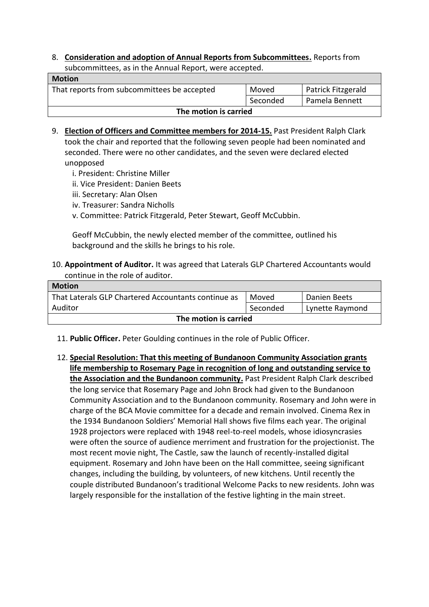8. **Consideration and adoption of Annual Reports from Subcommittees.** Reports from subcommittees, as in the Annual Report, were accepted.

| <b>Motion</b>                               |          |                    |
|---------------------------------------------|----------|--------------------|
| That reports from subcommittees be accepted | Moved    | Patrick Fitzgerald |
|                                             | Seconded | Pamela Bennett     |
| The motion is carried                       |          |                    |

- 9. **Election of Officers and Committee members for 2014-15.** Past President Ralph Clark took the chair and reported that the following seven people had been nominated and seconded. There were no other candidates, and the seven were declared elected unopposed
	- i. President: Christine Miller
	- ii. Vice President: Danien Beets
	- iii. Secretary: Alan Olsen
	- iv. Treasurer: Sandra Nicholls
	- v. Committee: Patrick Fitzgerald, Peter Stewart, Geoff McCubbin.

Geoff McCubbin, the newly elected member of the committee, outlined his background and the skills he brings to his role.

10. **Appointment of Auditor.** It was agreed that Laterals GLP Chartered Accountants would continue in the role of auditor.

| <b>Motion</b>                                       |          |                 |
|-----------------------------------------------------|----------|-----------------|
| That Laterals GLP Chartered Accountants continue as | Moved    | Danien Beets    |
| Auditor                                             | Seconded | Lynette Raymond |
| The motion is carried                               |          |                 |

- 11. **Public Officer.** Peter Goulding continues in the role of Public Officer.
- 12. **Special Resolution: That this meeting of Bundanoon Community Association grants life membership to Rosemary Page in recognition of long and outstanding service to the Association and the Bundanoon community.** Past President Ralph Clark described the long service that Rosemary Page and John Brock had given to the Bundanoon Community Association and to the Bundanoon community. Rosemary and John were in charge of the BCA Movie committee for a decade and remain involved. Cinema Rex in the 1934 Bundanoon Soldiers' Memorial Hall shows five films each year. The original 1928 projectors were replaced with 1948 reel-to-reel models, whose idiosyncrasies were often the source of audience merriment and frustration for the projectionist. The most recent movie night, The Castle, saw the launch of recently-installed digital equipment. Rosemary and John have been on the Hall committee, seeing significant changes, including the building, by volunteers, of new kitchens. Until recently the couple distributed Bundanoon's traditional Welcome Packs to new residents. John was largely responsible for the installation of the festive lighting in the main street.